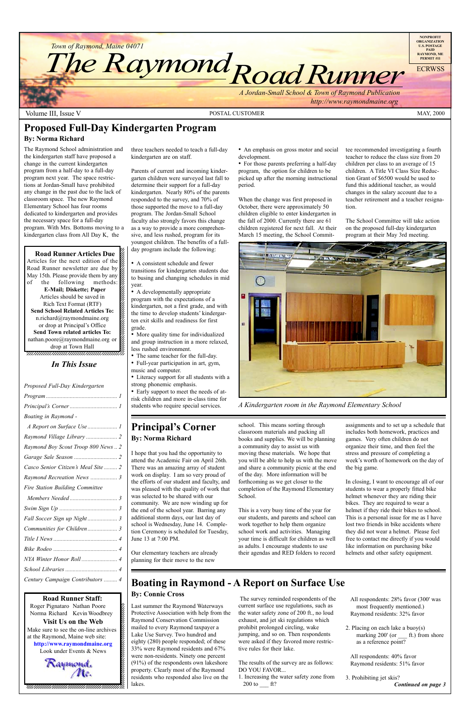12345678901234567890123456789012345678901234567890123456789012345678901234567890123456789012345678901234567890 12345678901234567890123456789012123456789012345678

**Road Runner Articles Due**  $1235678901234567890123456789012345678901234567890123456789012345678901234567890123456789012345678901234567890123456789012345678901234567890123456789012345678901234567890123456789012345678901234567890123456789012345678901$ Articles for the next edition of the  $\%$ Road Runner newsletter are due by  $\hat{z}$ May 15th. Please provide them by any  $\mathscr{L}$  $1235678901234587890123456789012345678901234567890123456789012345678901234567890123456789012345678901234567890123456789012345678901234567890123456789012345678901234567890123456789012345678901234567890123456789012345678901$ of the following methods:  $\%$ **E-Mail; Diskette; Paper** 12345678901234567890123456789012123456789012345678 Articles should be saved in  $\mathscr{C}$ Rich Text Format (RTF) 12345678901234567890123456789012123456789012345678 **Send School Related Articles To:**  $n.richard@raymondmaine.org$ or drop at Principal's Office  $\mathscr{L}$  $1235678901234567890123456789012345678901234567890123456789012345678901234567890123456789012345678901234567890123456789012345678901234567890123456789012345678901234567890123456789012345678901234567890123456789012345678901$ **Send Town related articles To:** nathan.poore@raymondmaine.org or  $\mathscr{D}$ 12345678901234567890123456789012123456789012345678 drop at Town Hall  $\mathscr{C}$ 



#### 12345678901234567890123456789012345678901234567890123456789012345678901234567890123456789012345678901234567890 **Road Runner Staff:**

Roger Pignataro Nathan Poore & 12345678901234567890123456789012123456789012345678 Norma Richard Kevin Woodbrey  $\frac{2}{3}$  $18.8$ **Visit Us on the Web**  $1235678901234567890123456789012345678901234567890123456789012345678901234567890123456789012345678901234567890123456789012345678901234567890123456789012345678901234567890123456789012345678901234567890123456789012345678901$ Make sure to see the on-line archives  $\%$ at the Raymond, Maine web site:  $\&$ 12345678901234567890123456789012123456789012345678 **http://www.raymondmaine.org** Look under Events  $&$  News 12345678901234567890123456789012123456789012345678 12345678901234567890123456789012123456789012345678  $\mathcal{R}$ *aymond*,

 $12.3456789$ 12345678901234567890123456789012123456789012345678 12345678901234567890123456789012123456789012345678  $18.8$  8  $\pm$  8  $\pm$  8  $\pm$  8  $\pm$  8  $\pm$  8  $\pm$  8  $\pm$  8  $\pm$  8  $\pm$  8  $\pm$  8  $\pm$  8  $\pm$  8  $\pm$  8  $\pm$  8  $\pm$  8  $\pm$  8  $\pm$  8  $\pm$  8  $\pm$  8  $\pm$  8  $\pm$  8  $\pm$  8  $\pm$  8  $\pm$  8  $\pm$  8  $\pm$  8  $\pm$  8  $\pm$  8  $\pm$  8  $\pm$  8  $\$ 12345678901234567890123456789012123456789012345678 , 123456789123456789123456789123456789123456789123

### **Principal's Corner By: Norma Richard**

12345678901234567890123456789012123456789012345678 12345678901234567890123456789012123456789012345678

• A consistent schedule and fewer transitions for kindergarten students due to busing and changing schedules in mid year.

• A developmentally appropriate program with the expectations of a kindergarten, not a first grade, and with the time to develop students' kindergarten exit skills and readiness for first grade.

• More quality time for individualized and group instruction in a more relaxed, less rushed environment.

- The same teacher for the full-day.
- Full-year participation in art, gym, music and computer.
- Literacy support for all students with a strong phonemic emphasis.
- Early support to meet the needs of atrisk children and more in-class time for students who require special services.

• An emphasis on gross motor and social development.

• For those parents preferring a half-day program, the option for children to be picked up after the morning instructional period.

1. Increasing the water safety zone from 200 to  $\_\_$  ft?

I hope that you had the opportunity to attend the Academic Fair on April 26th. There was an amazing array of student work on display. I am so very proud of the efforts of our student and faculty, and was pleased with the quality of work that was selected to be shared with our community. We are now winding up for the end of the school year. Barring any additional storm days, our last day of school is Wednesday, June 14. Completion Ceremony is scheduled for Tuesday,

June 13 at 7:00 PM.

Our elementary teachers are already planning for their move to the new

school. This means sorting through classroom materials and packing all books and supplies. We will be planning a community day to assist us with moving these materials. We hope that you will be able to help us with the move and share a community picnic at the end of the day. More information will be forthcoming as we get closer to the completion of the Raymond Elementary School.

This is a very busy time of the year for our students, and parents and school can work together to help them organize school work and activities. Managing your time is difficult for children as well as adults. I encourage students to use their agendas and RED folders to record

**Proposed Full-Day Kindergarten Program**

#### **By: Norma Richard**

The Raymond School administration and the kindergarten staff have proposed a change in the current kindergarten program from a half-day to a full-day program next year. The space restrictions at Jordan-Small have prohibited any change in the past due to the lack of classroom space. The new Raymond Elementary School has four rooms dedicated to kindergarten and provides the necessary space for a full-day program. With Mrs. Bottoms moving to a kindergarten class from All Day K, the

three teachers needed to teach a full-day kindergarten are on staff.

Parents of current and incoming kindergarten children were surveyed last fall to determine their support for a full-day kindergarten. Nearly 80% of the parents responded to the survey, and 70% of those supported the move to a full-day program. The Jordan-Small School faculty also strongly favors this change as a way to provide a more comprehensive, and less rushed, program for its youngest children. The benefits of a fullday program include the following:

When the change was first proposed in October, there were approximately 50 children eligible to enter kindergarten in the fall of 2000. Currently there are 61 children registered for next fall. At their March 15 meeting, the School Committee recommended investigating a fourth teacher to reduce the class size from 20 children per class to an average of 15 children. A Title VI Class Size Reduction Grant of \$6500 would be used to fund this additional teacher, as would changes in the salary account due to a teacher retirement and a teacher resignation.

The School Committee will take action on the proposed full-day kindergarten program at their May 3rd meeting.

# **Boating in Raymond - A Report on Surface Use**

### **By: Connie Cross**

Last summer the Raymond Waterways Protective Association with help from the Raymond Conservation Commission mailed to every Raymond taxpayer a Lake Use Survey. Two hundred and eighty (280) people responded; of these 33% were Raymond residents and 67% were non-residents. Ninety one percent (91%) of the respondents own lakeshore property. Clearly most of the Raymond residents who responded also live on the lakes.

 The survey reminded respondents of the current surface use regulations, such as the water safety zone of 200 ft., no loud exhaust, and jet ski regulations which prohibit prolonged circling, wake jumping, and so on. Then respondents were asked if they favored more restrictive rules for their lake.

The results of the survey are as follows: DO YOU FAVOR...

All respondents: 28% favor (300' was most frequently mentioned.) Raymond residents: 32% favor

2. Placing on each lake a buoy(s) marking 200' (or ft.) from shore as a reference point?

All respondents: 40% favor Raymond residents: 51% favor

assignments and to set up a schedule that includes both homework, practices and games. Very often children do not organize their time, and then feel the stress and pressure of completing a week's worth of homework on the day of the big game.

3. Prohibiting jet skis? *Continued on page 3*

In closing, I want to encourage all of our students to wear a properly fitted bike helmet whenever they are riding their bikes. They are required to wear a helmet if they ride their bikes to school. This is a personal issue for me as I have lost two friends in bike accidents where they did not wear a helmet. Please feel free to contact me directly if you would like information on purchasing bike helmets and other safety equipment.



*A Kindergarten room in the Raymond Elementary School*

### *In This Issue*

*Proposed Full-Day Kindergarten Program ................................................ 1 Principalís Corner ................................ 1*

| Boating in Raymond -                |
|-------------------------------------|
| A Report on Surface Use  1          |
|                                     |
| Raymond Boy Scout Troop 800 News  2 |
|                                     |
| Casco Senior Citizen's Meal Site  2 |
| Raymond Recreation News  3          |
| Fire Station Building Committee     |
|                                     |
|                                     |
|                                     |
|                                     |

*Communities for Children .................... 3*

*Century Campaign Contributors ......... 4*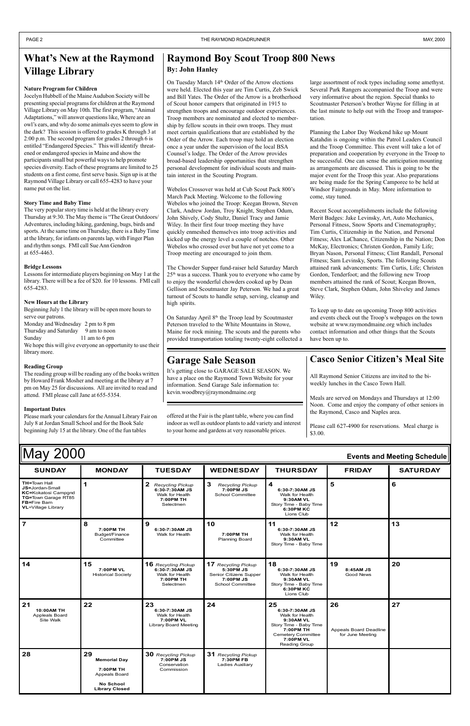| May 2000<br>Events and Meeting Schedule                                                                                                                |               |                                                                                 |                                                                |                                                                                                          |               |                 |
|--------------------------------------------------------------------------------------------------------------------------------------------------------|---------------|---------------------------------------------------------------------------------|----------------------------------------------------------------|----------------------------------------------------------------------------------------------------------|---------------|-----------------|
| <b>SUNDAY</b>                                                                                                                                          | <b>MONDAY</b> | <b>TUESDAY</b>                                                                  | <b>WEDNESDAY</b>                                               | <b>THURSDAY</b>                                                                                          | <b>FRIDAY</b> | <b>SATURDAY</b> |
| <b>TH=Town Hall</b><br><b>JS=Jordan-Small</b><br><b>KC=Kokatosi Campgnd</b><br>TG=Town Garage RT85<br><b>FB=Fire Barn</b><br><b>VL=Village Library</b> |               | Recycling Pickup<br>6:30-7:30AM JS<br>Walk for Health<br>7:00PM TH<br>Selectmen | -3<br><b>Recycling Pickup</b><br>7:00PM JS<br>School Committee | 4<br>6:30-7:30AM JS<br>Walk for Health<br>9:30AM VL<br>Story Time - Baby Time<br>6:30PM KC<br>Lions Club |               | 6               |
|                                                                                                                                                        | 7:00PM TH     | 6:30-7:30AM JS                                                                  | 10                                                             | 6:30-7:30AM JS                                                                                           | 12            | 13              |

|                                                        | Budget/Finance<br>Committee                                                                          | Walk for Health                                                                           | 7:00PM TH<br><b>Planning Board</b>                                                                 | Walk for Health<br>9:30AM VL<br>Story Time - Baby Time                                                                                                 |                                                  |    |
|--------------------------------------------------------|------------------------------------------------------------------------------------------------------|-------------------------------------------------------------------------------------------|----------------------------------------------------------------------------------------------------|--------------------------------------------------------------------------------------------------------------------------------------------------------|--------------------------------------------------|----|
| 14                                                     | 15<br>7:00PM VL<br><b>Historical Society</b>                                                         | <b>16</b> Recycling Pickup<br>6:30-7:30AM JS<br>Walk for Health<br>7:00PM TH<br>Selectmen | 17 Recycling Pickup<br>5:30PM JS<br>Senior Citizens Supper<br>7:00PM JS<br><b>School Committee</b> | 18<br>6:30-7:30AM JS<br>Walk for Health<br>9:30AM VL<br>Story Time - Baby Time<br>6:30PM KC<br>Lions Club                                              | 19<br>8:45AM JS<br><b>Good News</b>              | 20 |
| 21<br>10:00AM TH<br><b>Appleals Board</b><br>Site Walk | 22                                                                                                   | 23<br>6:30-7:30AM JS<br>Walk for Health<br>7:00PM VL<br>Library Board Meeting             | 24                                                                                                 | 25<br>6:30-7:30AM JS<br>Walk for Health<br>9:30AM VL<br>Story Time - Baby Time<br>7:00PM TH<br><b>Cemetery Committee</b><br>7:00PM VL<br>Reading Group | 26<br>Appeals Board Deadline<br>for June Meeting | 27 |
| 28                                                     | 29<br><b>Memorial Day</b><br>7:00PM TH<br>Appeals Board<br><b>No School</b><br><b>Library Closed</b> | 30 Recycling Pickup<br>7:00PM JS<br>Conservation<br>Commission                            | 31 Recycling Pickup<br>7:30PM FB<br><b>Ladies Auxiliary</b>                                        |                                                                                                                                                        |                                                  |    |

On Tuesday March 14<sup>th</sup> Order of the Arrow elections were held. Elected this year are Tim Curtis, Zeb Swick and Bill Yates. The Order of the Arrow is a brotherhood of Scout honor campers that originated in 1915 to strengthen troops and encourage outdoor experiences. Troop members are nominated and elected to membership by fellow scouts in their own troops. They must meet certain qualifications that are established by the Order of the Arrow. Each troop may hold an election once a year under the supervision of the local BSA Counsel's lodge. The Order of the Arrow provides broad-based leadership opportunities that strengthen personal development for individual scouts and maintain interest in the Scouting Program.

Webelos Crossover was held at Cub Scout Pack 800's March Pack Meeting. Welcome to the following Webelos who joined the Troop: Keegan Brown, Steven Clark, Andrew Jordan, Troy Knight, Stephen Odum, John Shively, Cody Stultz, Daniel Tracy and Jamie Wiley. In their first four troop meeting they have quickly enmeshed themselves into troop activities and kicked up the energy level a couple of notches. Other Webelos who crossed over but have not yet come to a Troop meeting are encouraged to join them.

### **Raymond Boy Scout Troop 800 News By: John Hanley**

On Saturday April 8<sup>th</sup> the Troop lead by Scoutmaster Peterson traveled to the White Mountains in Stowe, Maine for rock mining. The scouts and the parents who provided transportation totaling twenty-eight collected a

### **What's New at the Raymond Village Library**

The Chowder Supper fund-raiser held Saturday March 25th was a success. Thank you to everyone who came by to enjoy the wonderful chowders cooked up by Dean Gellison and Scoutmaster Jay Peterson. We had a great turnout of Scouts to handle setup, serving, cleanup and high spirits.

large assortment of rock types including some amethyst. Several Park Rangers accompanied the Troop and were very informative about the region. Special thanks to Scoutmaster Peterson's brother Wayne for filling in at the last minute to help out with the Troop and transportation.

Planning the Labor Day Weekend hike up Mount Katahdin is ongoing within the Patrol Leaders Council and the Troop Committee. This event will take a lot of preparation and cooperation by everyone in the Troop to be successful. One can sense the anticipation mounting as arrangements are discussed. This is going to be the major event for the Troop this year. Also preparations are being made for the Spring Camporee to be held at Windsor Fairgrounds in May. More information to come, stay tuned.

It's getting close to GARAGE SALE SEASON. We have a place on the Raymond Town Website for your information. Send Garage Sale information to: kevin.woodbrey@raymondmaine.org

Recent Scout accomplishments include the following Merit Badges: Jake Levinsky, Art, Auto Mechanics, Personal Fitness, Snow Sports and Cinematography; Tim Curtis, Citizenship in the Nation, and Personal Fitness; Alex LaChance, Citizenship in the Nation; Don McKay, Electronics; Christen Gordon, Family Life; Bryan Nason, Personal Fitness; Clint Randall, Personal Fitness; Sam Levinsky, Sports. The following Scouts attained rank advancements: Tim Curtis, Life; Christen Gordon, Tenderfoot; and the following new Troop members attained the rank of Scout; Keegan Brown, Steve Clark, Stephen Odum, John Shiveley and James Wiley.

To keep up to date on upcoming Troop 800 activities and events check out the Troop's webpages on the town website at www.raymondmaine.org which includes contact information and other things that the Scouts have been up to.

### **Casco Senior Citizen's Meal Site**

#### **Nature Program for Children**

Jocelyn Hubbell of the Maine Audubon Society will be presenting special programs for children at the Raymond Village Library on May 10th. The first program, "Animal" Adaptations," will answer questions like, Where are an owl's ears, and why do some animals eyes seem to glow in the dark? This session is offered to grades K through 3 at 2:00 p.m. The second program for grades 2 through 6 is entitled "Endangered Species." This will identify threatened or endangered species in Maine and show the participants small but powerful ways to help promote species diversity. Each of these programs are limited to 25 students on a first come, first serve basis. Sign up is at the Raymond Village Library or call 655-4283 to have your name put on the list.

#### **Story Time and Baby Time**

The very popular story time is held at the library every Thursday at 9:30. The May theme is "The Great Outdoors/ Adventures, including hiking, gardening, bugs, birds and sports. At the same time on Thursday, there is a Baby Time at the library, for infants on parents lap, with Finger Plan and rhythm songs. FMI call Sue Ann Gendron at 655-4463.

#### **Bridge Lessons**

Lessons for intermediate players beginning on May 1 at the library. There will be a fee of \$20. for 10 lessons. FMI call 655-4283.

#### **New Hours at the Library**

Beginning July 1 the library will be open more hours to serve our patrons. Monday and Wednesday 2 pm to 8 pm Thursday and Saturday 9 am to noon Sunday 11 am to 6 pm We hope this will give everyone an opportunity to use their library more.

#### **Reading Group**

The reading group will be reading any of the books written by Howard Frank Mosher and meeting at the library at 7 pm on May 25 for discussions. All are invited to read and attend. FMI please call Jane at 655-5354.

#### **Important Dates**

Please mark your calendars for the Annual Library Fair on July 8 at Jordan Small School and for the Book Sale beginning July 15 at the library. One of the fun tables

offered at the Fair is the plant table, where you can find indoor as well as outdoor plants to add variety and interest to your home and gardens at very reasonable prices.

All Raymond Senior Citizens are invited to the biweekly lunches in the Casco Town Hall.

Meals are served on Mondays and Thursdays at 12:00 Noon. Come and enjoy the company of other seniors in the Raymond, Casco and Naples area.

Please call 627-4900 for reservations. Meal charge is \$3.00.

### **Garage Sale Season**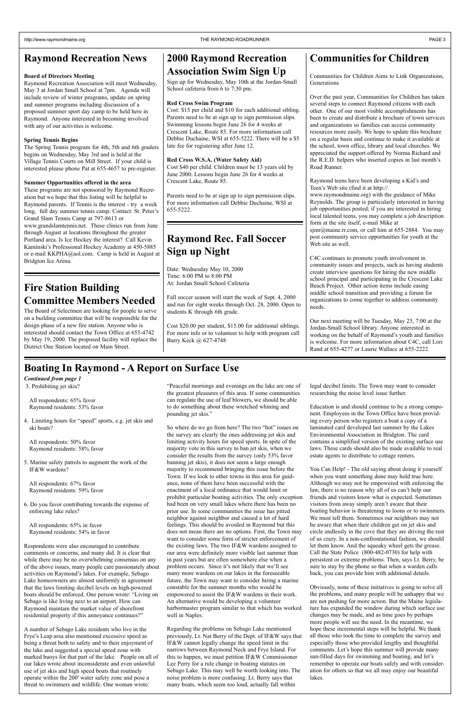3. Prohibiting jet skis?

4. Limiting hours for "speed" sports, e.g. jet skis and ski boats?

All respondents: 65% favor Raymond residents: 53% favor

All respondents: 50% favor Raymond residents: 58% favor

Respondents were also encouraged to contribute comments or concerns, and many did. It is clear that while there may be no overwhelming consensus on any of the above issues, many people care passionately about activities on Raymond's lakes. For example, Sebago Lake homeowners are almost uniformly in agreement that the laws limiting decibel levels on high-powered boats should be enforced. One person wrote: "Living on Sebago is like living next to an airport. How can Raymond maintain the market value of shorefront residential property if this annoyance continues?"

5. Marine safety patrols to augment the work of the IF&W wardens?

All respondents: 67% favor Raymond residents: 59% favor

6. Do you favor contributing towards the expense of enforcing lake rules?

All respondents: 65% in favor Raymond residents: 54% in favor ìPeaceful mornings and evenings on the lake are one of the greatest pleasures of this area. If some communities can regulate the use of leaf blowers, we should be able to do something about these wretched whining and pounding jet skis."

A number of Sebago Lake residents who live in the Frye's Leap area also mentioned excessive speed as being a threat both to safety and to their enjoyment of the lake and suggested a special speed zone with marked buoys for that part of the lake. People on all of our lakes wrote about inconsiderate and even unlawful use of jet skis and high speed boats that routinely operate within the 200' water safety zone and pose a threat to swimmers and wildlife. One woman wrote:

So where do we go from here? The two "hot" issues on the survey are clearly the ones addressing jet skis and limiting activity hours for speed sports. In spite of the majority vote in this survey to ban jet skis, when we consider the results from the survey (only 53% favor banning jet skis), it does not seem a large enough majority to recommend bringing this issue before the Town. If we look to other towns in this area for guidance, none of them have been successful with the enactment of a local ordinance that would limit or prohibit particular boating activities. The only exception had been on very small lakes where there has been no prior use. In some communities the issue has pitted neighbor against neighbor and caused a lot of hard feelings. This should be avoided in Raymond but this does not mean there are no options. First, the Town may want to consider some form of stricter enforcement of the existing laws. The two IF&W wardens assigned to our area were definitely more visible last summer than in past years but are often somewhere else when a problem occurs. Since it's not likely that we'll see many more wardens on our lakes in the foreseeable future, the Town may want to consider hiring a marine constable for the summer months who would be empowered to assist the IF&W wardens in their work. An alternative would be developing a volunteer harbormaster program similar to that which has worked well in Naples.

You Can Help! - The old saying about doing it yourself when you want something done may hold true here. Although we may not be empowered with enforcing the law, there is no reason why all of us can't help our friends and visitors know what is expected. Sometimes visitors from away simply aren't aware that their boating behavior is threatening to loons or to swimmers. We must tell them. Sometimes our neighbors may not be aware that when their children get on jet skis and circle endlessly in the cove that they are driving the rest of us crazy. In a non-confrontational fashion, we should let them know. And the squeaky wheel gets the grease. Call the State Police (800-482-0730) for help with persistent or extreme problems. Then, says Lt. Berry, be sure to stay by the phone so that when a warden calls back, you can provide him with additional details.

Regarding the problems on Sebago Lake mentioned previously, Lt. Nat Berry of the Dept. of IF&W says that IF&W cannot legally change the speed limit in the narrows between Raymond Neck and Frye Island. For this to happen, we must petition IF&W Commissioner Lee Perry for a rule change in boating statutes on Sebago Lake. This may well be worth looking into. The noise problem is more confusing. Lt. Berry says that many boats, which seem too loud, actually fall within

legal decibel limits. The Town may want to consider researching the noise level issue further.

Education is and should continue to be a strong component. Employees in the Town Office have been providing every person who registers a boat a copy of a laminated card developed last summer by the Lakes Environmental Association in Bridgton. The card contains a simplified version of the existing surface use laws. These cards should also be made available to real estate agents to distribute to cottage renters.

Obviously, none of these initiatives is going to solve all the problems, and many people will be unhappy that we are not pushing for more action. But the Maine legislature has expanded the window during which surface use changes may be made, and as time goes by perhaps more people will see the need. In the meantime, we hope these incremental steps will be helpful. We thank all those who took the time to complete the survey and especially those who provided lengthy and thoughtful comments. Let's hope this summer will provide many sun-filled days for swimming and boating, and let's remember to operate our boats safely and with consideration for others so that we all may enjoy our beautiful lakes.

### **Boating In Raymond - A Report on Surface Use**

#### *Continued from page 1*

### **Raymond Recreation News**

#### **Board of Directors Meeting**

Raymond Recreation Association will meet Wednesday, May 3 at Jordan Small School at 7pm. Agenda will include review of winter programs, update on spring and summer programs including discussion of a proposed summer sport day camp to be held here in Raymond. Anyone interested in becoming involved with any of our activities is welcome.

#### **Spring Tennis Begins**

The Spring Tennis program for 4th, 5th and 6th graders begins on Wednesday, May 3rd and is held at the Village Tennis Courts on Mill Street. If your child is interested please phone Pat at 655-4657 to pre-register.

#### **Summer Opportunities offered in the area**

These programs are not sponsored by Raymond Recreation but we hope that this listing will be helpful to Raymond parents. If Tennis is the interest - try a week long, full day summer tennis camp. Contact: St. Peter's Grand Slam Tennis Camp at 797-8613 or www.grandslamtennis.net. These clinics run from June through August at locations throughout the greater Portland area. Is Ice Hockey the interest? Call Kevin Kaminski's Professional Hockey Academy at 450-5885 or e-mail KKPHA@aol.com. Camp is held in August at Bridgton Ice Arena.

## **Raymond Rec. Fall Soccer Sign up Night**

Date: Wednesday May 10, 2000 Time: 6:00 PM to 8:00 PM At: Jordan Small School Cafeteria

Fall soccer season will start the week of Sept. 4, 2000 and run for eight weeks through Oct. 28, 2000. Open to students K through 6th grade.

Cost \$20.00 per student, \$15.00 for additional siblings. For more info or to volunteer to help with program call Barry Keck @ 627-4748

### **2000 Raymond Recreation Association Swim Sign Up**

Sign up for Wednesday, May 10th at the Jordan-Small School cafeteria from 6 to 7:30 pm.

#### **Red Cross Swim Program**

Cost: \$15 per child and \$10 for each additional sibling. Parents need to be at sign up to sign permission slips. Swimming lessons begin June 26 for 4 weeks at Crescent Lake, Route 85. For more information call Debbie Duchaine, WSI at 655-5222. There will be a \$5 late fee for registering after June 12.

#### **Red Cross W.S.A. (Water Safety Aid)**

Cost \$40 per child. Children must be 13 years old by June 2000. Lessons begin June 26 for 4 weeks at Crescent Lake, Route 85.

Parents need to be at sign up to sign permission slips. For more information call Debbie Duchaine, WSI at 655-5222.

### **Communities for Children**

Communities for Children Aims to Link Organizations, Generations

Over the past year, Communities for Children has taken several steps to connect Raymond citizens with each other. One of our most visible accomplishments has been to create and distribute a brochure of town services and organizations so families can access community resources more easily. We hope to update this brochure on a regular basis and continue to make it available at the school, town office, library and local churches. We appreciated the support offered by Norma Richard and the R.E.D. helpers who inserted copies in last month's Road Runner.

Raymond teens have been developing a Kid's and Teen's Web site (find it at http://

www.raymondmaine.org) with the guidance of Mike Reynolds. The group is particularly interested in having job opportunities posted; if you are interested in hiring local talented teens, you may complete a job description form at the site itself, e-mail Mike at sjmr@maine.rr.com, or call him at 655-2884. You may post community service opportunities for youth at the Web site as well.

C4C continues to promote youth involvement in community issues and projects, such as having students create interview questions for hiring the new middle school principal and participating in the Crescent Lake Beach Project. Other action items include easing middle school transition and providing a forum for organizations to come together to address community needs.

Our next meeting will be Tuesday, May 23, 7:00 at the Jordan-Small School library. Anyone interested in working on the behalf of Raymond's youth and families is welcome. For more information about C4C, call Lori Rand at 655-4277 or Laurie Wallace at 655-2222.

### **Fire Station Building Committee Members Needed**

The Board of Selectmen are looking for people to serve on a building committee that will be responsible for the design phase of a new fire station. Anyone who is interested should contact the Town Office at 655-4742 by May 19, 2000. The proposed facility will replace the District One Station located on Main Street.